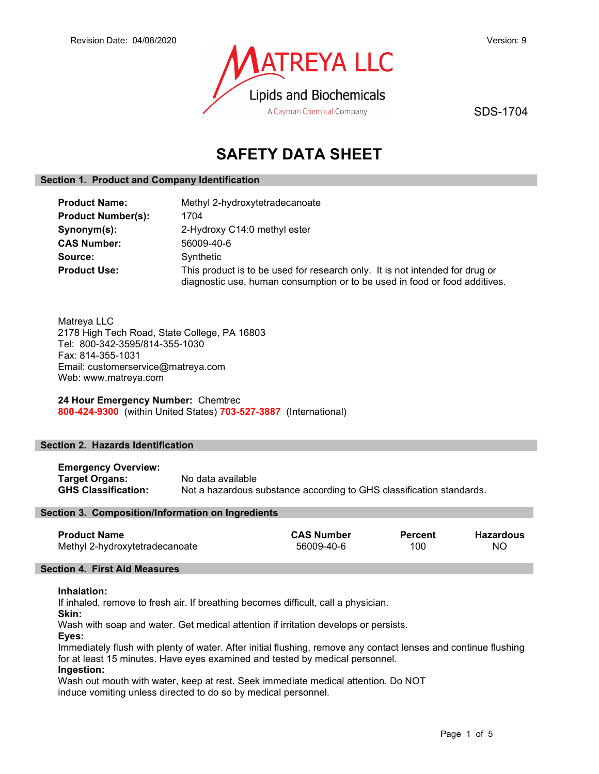

SDS-1704

# SAFETY DATA SHEET

# Section 1. Product and Company Identification

| <b>Product Name:</b>      | Methyl 2-hydroxytetradecanoate                                                                                                                             |
|---------------------------|------------------------------------------------------------------------------------------------------------------------------------------------------------|
| <b>Product Number(s):</b> | 1704                                                                                                                                                       |
| Synonym(s):               | 2-Hydroxy C14:0 methyl ester                                                                                                                               |
| <b>CAS Number:</b>        | 56009-40-6                                                                                                                                                 |
| Source:                   | Synthetic                                                                                                                                                  |
| <b>Product Use:</b>       | This product is to be used for research only. It is not intended for drug or<br>diagnostic use, human consumption or to be used in food or food additives. |

Matreya LLC 2178 High Tech Road, State College, PA 16803 Tel: 800-342-3595/814-355-1030 Fax: 814-355-1031 Email: customerservice@matreya.com Web: www.matreya.com

24 Hour Emergency Number: Chemtrec 800-424-9300 (within United States) 703-527-3887 (International)

# Section 2. Hazards Identification

Emergency Overview: **Target Organs:** No data available<br> **GHS Classification:** Not a hazardous s Not a hazardous substance according to GHS classification standards.

# Section 3. Composition/Information on Ingredients

| <b>CAS Number</b><br><b>Percent</b> | <b>Hazardous</b> |
|-------------------------------------|------------------|
| 100                                 | NC               |
|                                     | 56009-40-6       |

# Section 4. First Aid Measures

#### Inhalation:

If inhaled, remove to fresh air. If breathing becomes difficult, call a physician.

Skin:

Wash with soap and water. Get medical attention if irritation develops or persists.

Eyes:

Immediately flush with plenty of water. After initial flushing, remove any contact lenses and continue flushing for at least 15 minutes. Have eyes examined and tested by medical personnel.

# Ingestion:

Wash out mouth with water, keep at rest. Seek immediate medical attention. Do NOT induce vomiting unless directed to do so by medical personnel.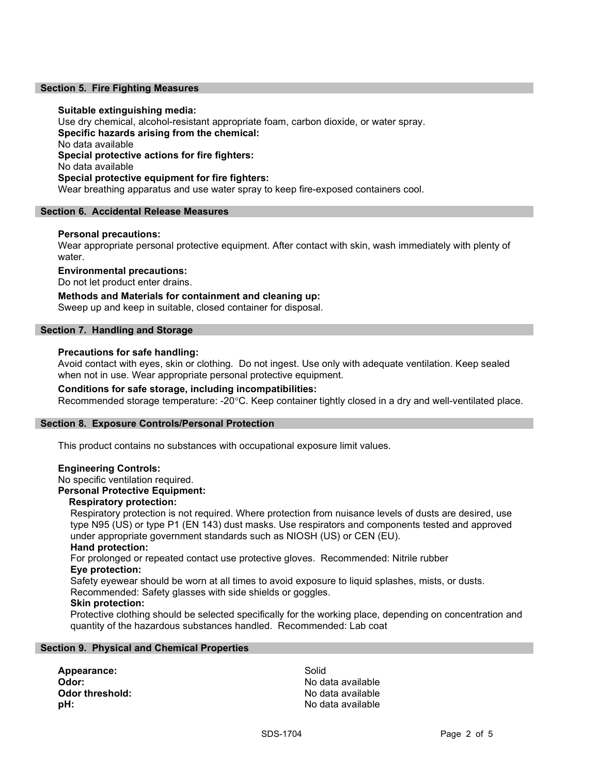#### Section 5. Fire Fighting Measures

#### Suitable extinguishing media:

Use dry chemical, alcohol-resistant appropriate foam, carbon dioxide, or water spray. Specific hazards arising from the chemical: No data available Special protective actions for fire fighters: No data available Special protective equipment for fire fighters: Wear breathing apparatus and use water spray to keep fire-exposed containers cool.

#### Section 6. Accidental Release Measures

### Personal precautions:

Wear appropriate personal protective equipment. After contact with skin, wash immediately with plenty of water.

### Environmental precautions:

Do not let product enter drains.

Methods and Materials for containment and cleaning up: Sweep up and keep in suitable, closed container for disposal.

#### Section 7. Handling and Storage

#### Precautions for safe handling:

Avoid contact with eyes, skin or clothing. Do not ingest. Use only with adequate ventilation. Keep sealed when not in use. Wear appropriate personal protective equipment.

#### Conditions for safe storage, including incompatibilities:

Recommended storage temperature: -20°C. Keep container tightly closed in a dry and well-ventilated place.

#### Section 8. Exposure Controls/Personal Protection

This product contains no substances with occupational exposure limit values.

#### Engineering Controls:

No specific ventilation required.

### Personal Protective Equipment:

### Respiratory protection:

Respiratory protection is not required. Where protection from nuisance levels of dusts are desired, use type N95 (US) or type P1 (EN 143) dust masks. Use respirators and components tested and approved under appropriate government standards such as NIOSH (US) or CEN (EU).

# Hand protection:

For prolonged or repeated contact use protective gloves. Recommended: Nitrile rubber Eye protection:

Safety eyewear should be worn at all times to avoid exposure to liquid splashes, mists, or dusts. Recommended: Safety glasses with side shields or goggles.

# Skin protection:

Protective clothing should be selected specifically for the working place, depending on concentration and quantity of the hazardous substances handled. Recommended: Lab coat

#### Section 9. Physical and Chemical Properties

Appearance: Solid Odor: No data available **Odor threshold:** No data available **pH:**  $\blacksquare$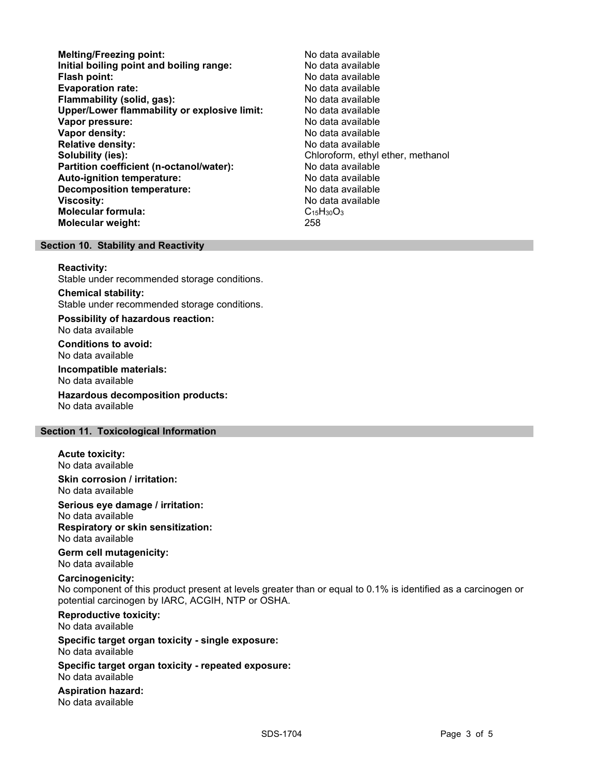- Melting/Freezing point: Melting/Freezing point: Initial boiling point and boiling range: No data available Flash point: No data available **Evaporation rate:** No data available Flammability (solid, gas): No data available Upper/Lower flammability or explosive limit: No data available Vapor pressure: No data available Vapor density: No data available Relative density: No data available Solubility (ies):<br> **Solubility (ies):** Chloroform, ethyl ether, methanol<br> **Partition coefficient (n-octanol/water):** No data available Partition coefficient (n-octanol/water): Auto-ignition temperature: No data available Decomposition temperature: No data available Viscosity: No data available Molecular formula: C<sub>15</sub>H<sub>30</sub>O<sub>3</sub> Molecular weight: 258
	-

#### Section 10. Stability and Reactivity

#### Reactivity:

Stable under recommended storage conditions.

Chemical stability: Stable under recommended storage conditions.

Possibility of hazardous reaction: No data available

Conditions to avoid: No data available

Incompatible materials: No data available

Hazardous decomposition products: No data available

### Section 11. Toxicological Information

# Acute toxicity:

No data available

Skin corrosion / irritation: No data available

Serious eye damage / irritation:

No data available Respiratory or skin sensitization:

No data available

Germ cell mutagenicity: No data available

# Carcinogenicity:

No component of this product present at levels greater than or equal to 0.1% is identified as a carcinogen or potential carcinogen by IARC, ACGIH, NTP or OSHA.

Reproductive toxicity: No data available

Specific target organ toxicity - single exposure: No data available

Specific target organ toxicity - repeated exposure: No data available

Aspiration hazard: No data available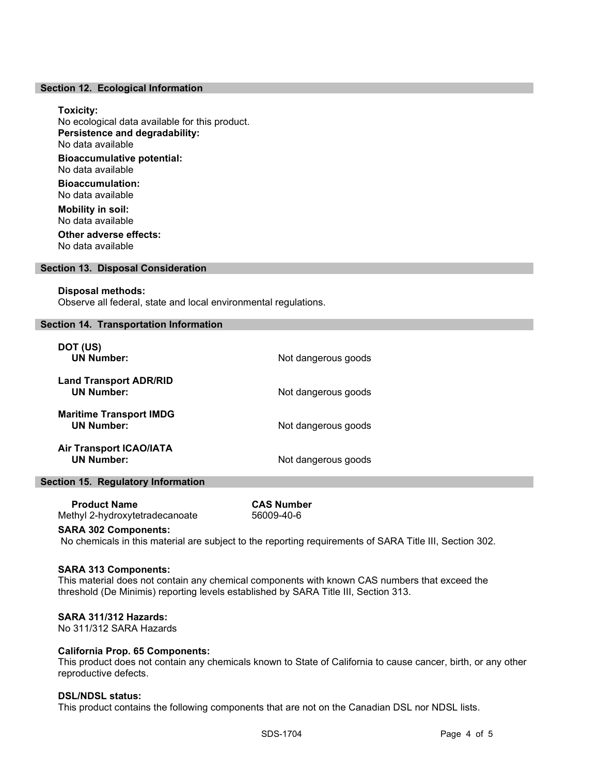#### Section 12. Ecological Information

#### Toxicity:

No ecological data available for this product. Persistence and degradability: No data available Bioaccumulative potential: No data available

Bioaccumulation: No data available

Mobility in soil: No data available Other adverse effects:

No data available

### Section 13. Disposal Consideration

#### Disposal methods:

Observe all federal, state and local environmental regulations.

#### Section 14. Transportation Information

| DOT (US)<br><b>UN Number:</b>                       | Not dangerous goods |
|-----------------------------------------------------|---------------------|
| <b>Land Transport ADR/RID</b><br><b>UN Number:</b>  | Not dangerous goods |
| <b>Maritime Transport IMDG</b><br><b>UN Number:</b> | Not dangerous goods |
| <b>Air Transport ICAO/IATA</b><br><b>UN Number:</b> | Not dangerous goods |

# Section 15. Regulatory Information

 Product Name CAS Number Methyl 2-hydroxytetradecanoate 56009-40-6

#### SARA 302 Components:

No chemicals in this material are subject to the reporting requirements of SARA Title III, Section 302.

#### SARA 313 Components:

This material does not contain any chemical components with known CAS numbers that exceed the threshold (De Minimis) reporting levels established by SARA Title III, Section 313.

#### SARA 311/312 Hazards:

No 311/312 SARA Hazards

#### California Prop. 65 Components:

This product does not contain any chemicals known to State of California to cause cancer, birth, or any other reproductive defects.

#### DSL/NDSL status:

This product contains the following components that are not on the Canadian DSL nor NDSL lists.